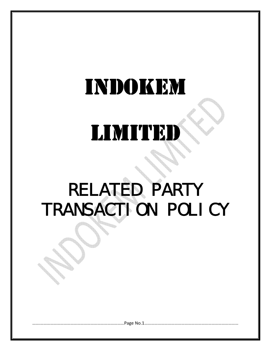# INDOKEM

# LIMITED

### RELATED PARTY TRANSACTION POLICY

…….…………………………………………………………………Page No.1…………………………………………………………………………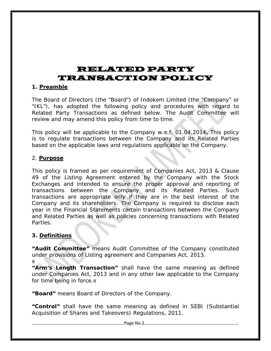### RELATED PARTY TRANSACTION POLICY

#### **1. Preamble**

The Board of Directors (the "Board") of Indokem Limited (the "Company" or "IKL"), has adopted the following policy and procedures with regard to Related Party Transactions as defined below. The Audit Committee will review and may amend this policy from time to time.

This policy will be applicable to the Company w.e.f. 01.04.2014**.** This policy is to regulate transactions between the Company and its Related Parties based on the applicable laws and regulations applicable on the Company.

#### 2. **Purpose**

This policy is framed as per requirement of Companies Act, 2013 & Clause 49 of the Listing Agreement entered by the Company with the Stock Exchanges and intended to ensure the proper approval and reporting of transactions between the Company and its Related Parties. Such transactions are appropriate only if they are in the best interest of the Company and its shareholders. The Company is required to disclose each year in the Financial Statements certain transactions between the Company and Related Parties as well as policies concerning transactions with Related Parties.

#### **3. Definitions**

**"Audit Committee"** means Audit Committee of the Company constituted under provisions of Listing agreement and Companies Act, 2013.  $#$ 

**"Arm's Length Transaction"** shall have the same meaning as defined under Companies Act, 2013 and in any other law applicable to the Company for time being in force.

**"Board"** means Board of Directors of the Company.

**"Control"** shall have the same meaning as defined in SEBI (Substantial Acquisition of Shares and Takeovers) Regulations, 2011.

…….…………………………………………………………………Page No.2…………………………………………………………………………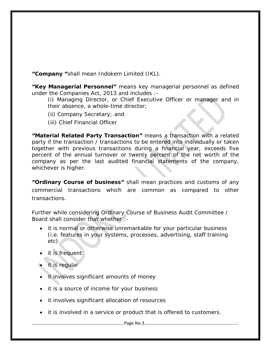**"Company "**shall mean Indokem Limited (IKL).

**"Key Managerial Personnel"** means key managerial personnel as defined under the Companies Act, 2013 and includes :-

(i) Managing Director, or Chief Executive Officer or manager and in their absence, a whole-time director;

- (ii) Company Secretary; and
- (iii) Chief Financial Officer

**"Material Related Party Transaction"** means a transaction with a related party if the transaction / transactions to be entered into individually or taken together with previous transactions during a financial year, exceeds five percent of the annual turnover or twenty percent of the net worth of the company as per the last audited financial statements of the company, whichever is higher.

**"Ordinary Course of business"** shall mean practices and customs of any commercial transactions which are common as compared to other transactions.

Further while considering Ordinary Course of Business Audit Committee / Board shall consider that whether :-

- it is normal or otherwise unremarkable for your particular business (i.e. features in your systems, processes, advertising, staff training etc)
- it is frequent
- it is regular
- it involves significant amounts of money
- it is a source of income for your business
- it involves significant allocation of resources
- it is involved in a service or product that is offered to customers.

…….…………………………………………………………………Page No.3…………………………………………………………………………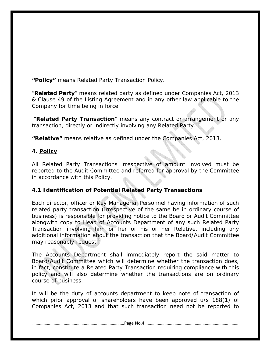**"Policy"** means Related Party Transaction Policy.

"**Related Party**" means related party as defined under Companies Act, 2013 & Clause 49 of the Listing Agreement and in any other law applicable to the Company for time being in force.

 "**Related Party Transaction**" means any contract or arrangement or any transaction, directly or indirectly involving any Related Party.

**"Relative"** means relative as defined under the Companies Act, 2013.

#### **4. Policy**

All Related Party Transactions irrespective of amount involved must be reported to the Audit Committee and referred for approval by the Committee in accordance with this Policy.

#### **4.1 Identification of Potential Related Party Transactions**

Each director, officer or Key Managerial Personnel having information of such related party transaction (irrespective of the same be in ordinary course of business) is responsible for providing notice to the Board or Audit Committee alongwith copy to Head of Accounts Department of any such Related Party Transaction involving him or her or his or her Relative, including any additional information about the transaction that the Board/Audit Committee may reasonably request.

The Accounts Department shall immediately report the said matter to Board/Audit Committee which will determine whether the transaction does, in fact, constitute a Related Party Transaction requiring compliance with this policy and will also determine whether the transactions are on ordinary course of business.

It will be the duty of accounts department to keep note of transaction of which prior approval of shareholders have been approved u/s 188(1) of Companies Act, 2013 and that such transaction need not be reported to

…….…………………………………………………………………Page No.4…………………………………………………………………………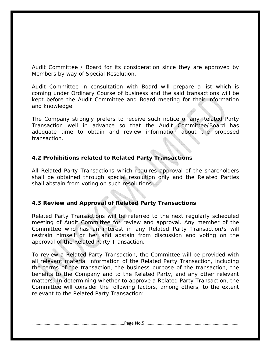Audit Committee / Board for its consideration since they are approved by Members by way of Special Resolution.

Audit Committee in consultation with Board will prepare a list which is coming under Ordinary Course of business and the said transactions will be kept before the Audit Committee and Board meeting for their information and knowledge.

The Company strongly prefers to receive such notice of any Related Party Transaction well in advance so that the Audit Committee/Board has adequate time to obtain and review information about the proposed transaction.

#### **4.2 Prohibitions related to Related Party Transactions**

All Related Party Transactions which requires approval of the shareholders shall be obtained through special resolution only and the Related Parties shall abstain from voting on such resolutions.

#### **4.3 Review and Approval of Related Party Transactions**

Related Party Transactions will be referred to the next regularly scheduled meeting of Audit Committee for review and approval. Any member of the Committee who has an interest in any Related Party Transaction/s will restrain himself or her and abstain from discussion and voting on the approval of the Related Party Transaction.

To review a Related Party Transaction, the Committee will be provided with all relevant material information of the Related Party Transaction, including the terms of the transaction, the business purpose of the transaction, the benefits to the Company and to the Related Party, and any other relevant matters. In determining whether to approve a Related Party Transaction, the Committee will consider the following factors, among others, to the extent relevant to the Related Party Transaction:

…….…………………………………………………………………Page No.5…………………………………………………………………………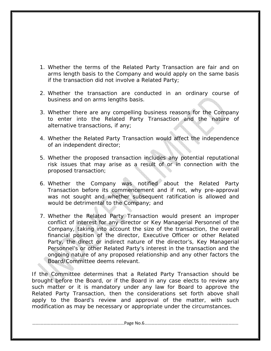- 1. Whether the terms of the Related Party Transaction are fair and on arms length basis to the Company and would apply on the same basis if the transaction did not involve a Related Party;
- 2. Whether the transaction are conducted in an ordinary course of business and on arms lengths basis.
- 3. Whether there are any compelling business reasons for the Company to enter into the Related Party Transaction and the nature of alternative transactions, if any;
- 4. Whether the Related Party Transaction would affect the independence of an independent director;
- 5. Whether the proposed transaction includes any potential reputational risk issues that may arise as a result of or in connection with the proposed transaction;
- 6. Whether the Company was notified about the Related Party Transaction before its commencement and if not, why pre-approval was not sought and whether subsequent ratification is allowed and would be detrimental to the Company; and
- 7. Whether the Related Party Transaction would present an improper conflict of interest for any director or Key Managerial Personnel of the Company, taking into account the size of the transaction, the overall financial position of the director, Executive Officer or other Related Party, the direct or indirect nature of the director's, Key Managerial Personnel's or other Related Party's interest in the transaction and the ongoing nature of any proposed relationship and any other factors the Board/Committee deems relevant.

If the Committee determines that a Related Party Transaction should be brought before the Board, or if the Board in any case elects to review any such matter or it is mandatory under any law for Board to approve the Related Party Transaction, then the considerations set forth above shall apply to the Board's review and approval of the matter, with such modification as may be necessary or appropriate under the circumstances.

…….…………………………………………………………………Page No.6…………………………………………………………………………